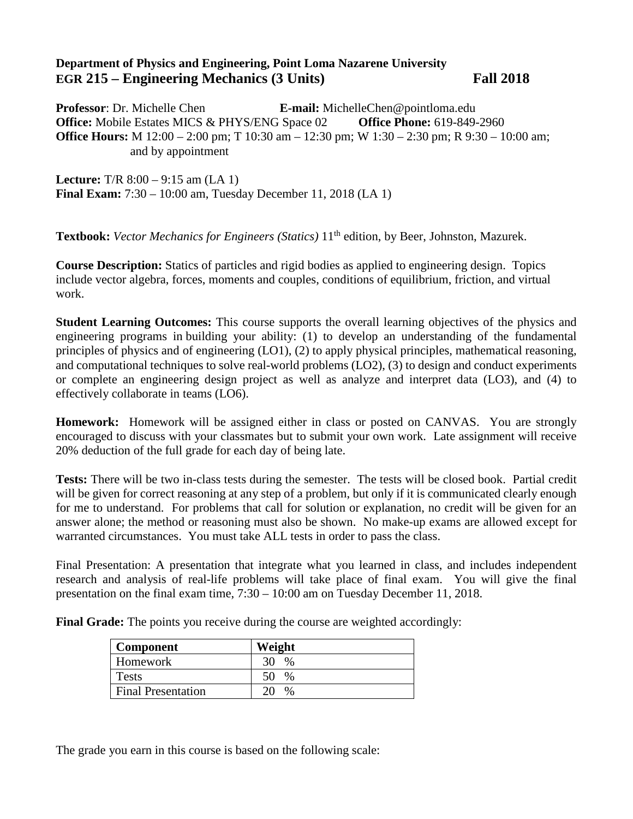## **Department of Physics and Engineering, Point Loma Nazarene University EGR 215 – Engineering Mechanics (3 Units) Fall 2018**

**Professor**: Dr. Michelle Chen **E-mail:** MichelleChen@pointloma.edu **Office:** Mobile Estates MICS & PHYS/ENG Space 02 **Office Phone:** 619-849-2960 **Office Hours:** M 12:00 – 2:00 pm; T 10:30 am – 12:30 pm; W 1:30 – 2:30 pm; R 9:30 – 10:00 am; and by appointment

**Lecture:** T/R 8:00 – 9:15 am (LA 1) **Final Exam:** 7:30 – 10:00 am, Tuesday December 11, 2018 (LA 1)

**Textbook:** *Vector Mechanics for Engineers (Statics)* 11<sup>th</sup> edition, by Beer, Johnston, Mazurek.

**Course Description:** Statics of particles and rigid bodies as applied to engineering design. Topics include vector algebra, forces, moments and couples, conditions of equilibrium, friction, and virtual work.

**Student Learning Outcomes:** This course supports the overall learning objectives of the physics and engineering programs in building your ability: (1) to develop an understanding of the fundamental principles of physics and of engineering (LO1), (2) to apply physical principles, mathematical reasoning, and computational techniques to solve real-world problems (LO2), (3) to design and conduct experiments or complete an engineering design project as well as analyze and interpret data (LO3), and (4) to effectively collaborate in teams (LO6).

**Homework:** Homework will be assigned either in class or posted on CANVAS. You are strongly encouraged to discuss with your classmates but to submit your own work. Late assignment will receive 20% deduction of the full grade for each day of being late.

**Tests:** There will be two in-class tests during the semester. The tests will be closed book. Partial credit will be given for correct reasoning at any step of a problem, but only if it is communicated clearly enough for me to understand. For problems that call for solution or explanation, no credit will be given for an answer alone; the method or reasoning must also be shown. No make-up exams are allowed except for warranted circumstances. You must take ALL tests in order to pass the class.

Final Presentation: A presentation that integrate what you learned in class, and includes independent research and analysis of real-life problems will take place of final exam. You will give the final presentation on the final exam time, 7:30 – 10:00 am on Tuesday December 11, 2018.

**Final Grade:** The points you receive during the course are weighted accordingly:

| Component                 | Weight     |
|---------------------------|------------|
| Homework                  | 30.<br>%   |
| Tests                     | 50<br>$\%$ |
| <b>Final Presentation</b> | $\%$       |

The grade you earn in this course is based on the following scale: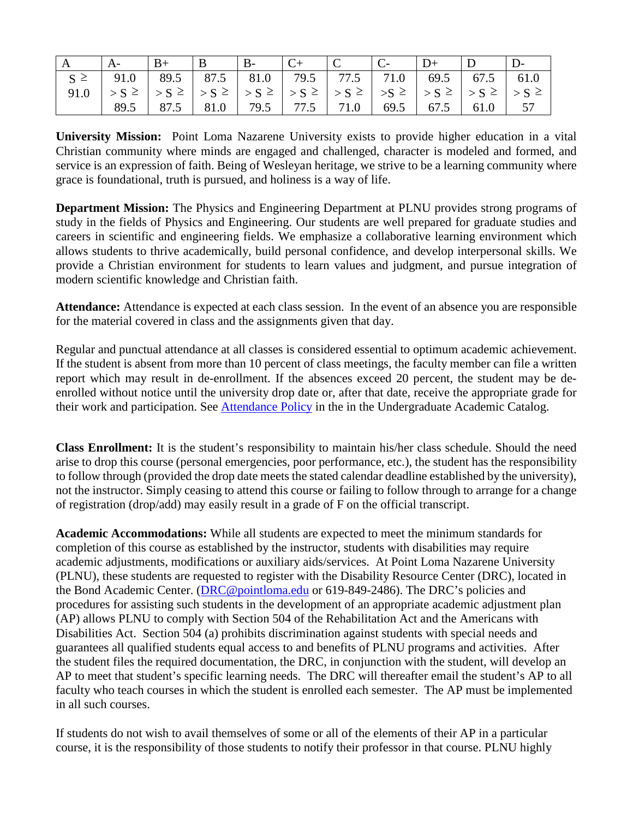|                                                           | $\vert B+ \vert B- \vert B- \vert C+ \vert C- \vert C- \vert D+ \vert D \vert$ |  |  |  |  |
|-----------------------------------------------------------|--------------------------------------------------------------------------------|--|--|--|--|
| $S \ge$ 91.0 89.5 87.5 81.0 79.5 77.5 71.0 69.5 67.5 61.0 |                                                                                |  |  |  |  |
|                                                           |                                                                                |  |  |  |  |
|                                                           | 89.5   87.5   81.0   79.5   77.5   71.0   69.5   67.5   61.0   57              |  |  |  |  |

**University Mission:** Point Loma Nazarene University exists to provide higher education in a vital Christian community where minds are engaged and challenged, character is modeled and formed, and service is an expression of faith. Being of Wesleyan heritage, we strive to be a learning community where grace is foundational, truth is pursued, and holiness is a way of life.

**Department Mission:** The Physics and Engineering Department at PLNU provides strong programs of study in the fields of Physics and Engineering. Our students are well prepared for graduate studies and careers in scientific and engineering fields. We emphasize a collaborative learning environment which allows students to thrive academically, build personal confidence, and develop interpersonal skills. We provide a Christian environment for students to learn values and judgment, and pursue integration of modern scientific knowledge and Christian faith.

**Attendance:** Attendance is expected at each class session. In the event of an absence you are responsible for the material covered in class and the assignments given that day.

Regular and punctual attendance at all classes is considered essential to optimum academic achievement. If the student is absent from more than 10 percent of class meetings, the faculty member can file a written report which may result in de-enrollment. If the absences exceed 20 percent, the student may be deenrolled without notice until the university drop date or, after that date, receive the appropriate grade for their work and participation. See [Attendance Policy](https://catalog.pointloma.edu/content.php?catoid=28&navoid=1761#Class_Attendance) in the in the Undergraduate Academic Catalog.

**Class Enrollment:** It is the student's responsibility to maintain his/her class schedule. Should the need arise to drop this course (personal emergencies, poor performance, etc.), the student has the responsibility to follow through (provided the drop date meets the stated calendar deadline established by the university), not the instructor. Simply ceasing to attend this course or failing to follow through to arrange for a change of registration (drop/add) may easily result in a grade of F on the official transcript.

**Academic Accommodations:** While all students are expected to meet the minimum standards for completion of this course as established by the instructor, students with disabilities may require academic adjustments, modifications or auxiliary aids/services. At Point Loma Nazarene University (PLNU), these students are requested to register with the Disability Resource Center (DRC), located in the Bond Academic Center. [\(DRC@pointloma.edu](mailto:DRC@pointloma.edu) or 619-849-2486). The DRC's policies and procedures for assisting such students in the development of an appropriate academic adjustment plan (AP) allows PLNU to comply with Section 504 of the Rehabilitation Act and the Americans with Disabilities Act. Section 504 (a) prohibits discrimination against students with special needs and guarantees all qualified students equal access to and benefits of PLNU programs and activities. After the student files the required documentation, the DRC, in conjunction with the student, will develop an AP to meet that student's specific learning needs. The DRC will thereafter email the student's AP to all faculty who teach courses in which the student is enrolled each semester. The AP must be implemented in all such courses.

If students do not wish to avail themselves of some or all of the elements of their AP in a particular course, it is the responsibility of those students to notify their professor in that course. PLNU highly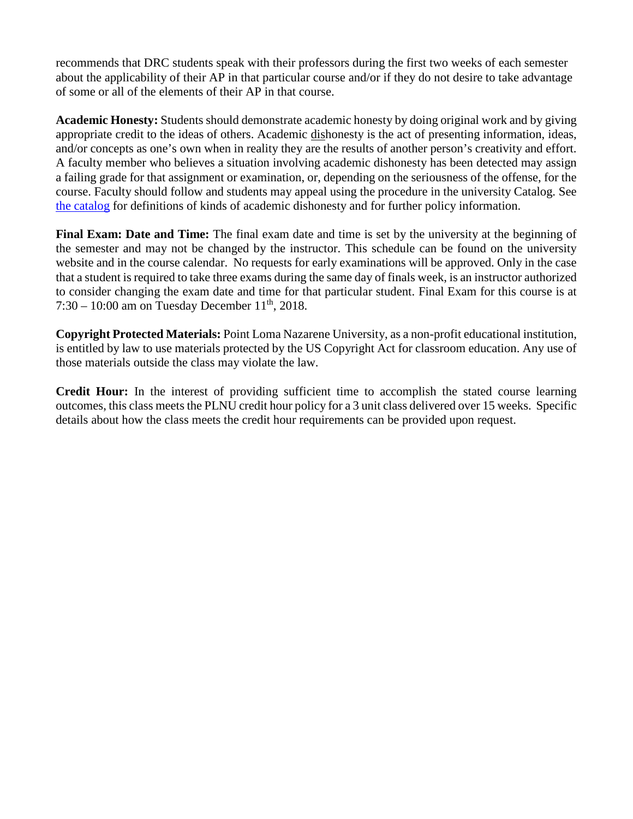recommends that DRC students speak with their professors during the first two weeks of each semester about the applicability of their AP in that particular course and/or if they do not desire to take advantage of some or all of the elements of their AP in that course.

**Academic Honesty:** Students should demonstrate academic honesty by doing original work and by giving appropriate credit to the ideas of others. Academic dishonesty is the act of presenting information, ideas, and/or concepts as one's own when in reality they are the results of another person's creativity and effort. A faculty member who believes a situation involving academic dishonesty has been detected may assign a failing grade for that assignment or examination, or, depending on the seriousness of the offense, for the course. Faculty should follow and students may appeal using the procedure in the university Catalog. See [the catalog](https://catalog.pointloma.edu/content.php?catoid=28&navoid=1761#Academic_Honesty) for definitions of kinds of academic dishonesty and for further policy information.

**Final Exam: Date and Time:** The final exam date and time is set by the university at the beginning of the semester and may not be changed by the instructor. This schedule can be found on the university website and in the course calendar. No requests for early examinations will be approved. Only in the case that a student is required to take three exams during the same day of finals week, is an instructor authorized to consider changing the exam date and time for that particular student. Final Exam for this course is at 7:30 – 10:00 am on Tuesday December  $11^{th}$ , 2018.

**Copyright Protected Materials:** Point Loma Nazarene University, as a non-profit educational institution, is entitled by law to use materials protected by the US Copyright Act for classroom education. Any use of those materials outside the class may violate the law.

**Credit Hour:** In the interest of providing sufficient time to accomplish the stated course learning outcomes, this class meets the PLNU credit hour policy for a 3 unit class delivered over 15 weeks. Specific details about how the class meets the credit hour requirements can be provided upon request.